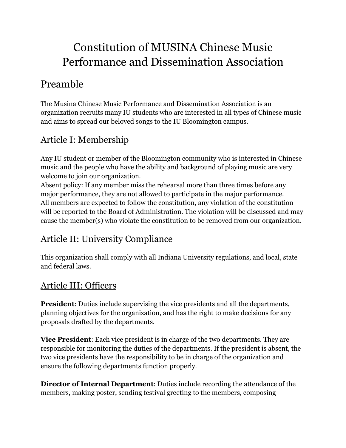# Constitution of MUSINA Chinese Music Performance and Dissemination Association

## Preamble

The Musina Chinese Music Performance and Dissemination Association is an organization recruits many IU students who are interested in all types of Chinese music and aims to spread our beloved songs to the IU Bloomington campus.

## Article I: Membership

Any IU student or member of the Bloomington community who is interested in Chinese music and the people who have the ability and background of playing music are very welcome to join our organization.

Absent policy: If any member miss the rehearsal more than three times before any major performance, they are not allowed to participate in the major performance. All members are expected to follow the constitution, any violation of the constitution will be reported to the Board of Administration. The violation will be discussed and may cause the member(s) who violate the constitution to be removed from our organization.

## Article II: University Compliance

This organization shall comply with all Indiana University regulations, and local, state and federal laws.

## Article III: Officers

**President**: Duties include supervising the vice presidents and all the departments, planning objectives for the organization, and has the right to make decisions for any proposals drafted by the departments.

**Vice President**: Each vice president is in charge of the two departments. They are responsible for monitoring the duties of the departments. If the president is absent, the two vice presidents have the responsibility to be in charge of the organization and ensure the following departments function properly.

**Director of Internal Department**: Duties include recording the attendance of the members, making poster, sending festival greeting to the members, composing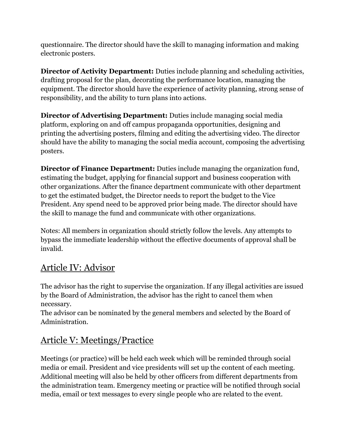questionnaire. The director should have the skill to managing information and making electronic posters.

**Director of Activity Department:** Duties include planning and scheduling activities, drafting proposal for the plan, decorating the performance location, managing the equipment. The director should have the experience of activity planning, strong sense of responsibility, and the ability to turn plans into actions.

**Director of Advertising Department:** Duties include managing social media platform, exploring on and off campus propaganda opportunities, designing and printing the advertising posters, filming and editing the advertising video. The director should have the ability to managing the social media account, composing the advertising posters.

**Director of Finance Department:** Duties include managing the organization fund, estimating the budget, applying for financial support and business cooperation with other organizations. After the finance department communicate with other department to get the estimated budget, the Director needs to report the budget to the Vice President. Any spend need to be approved prior being made. The director should have the skill to manage the fund and communicate with other organizations.

Notes: All members in organization should strictly follow the levels. Any attempts to bypass the immediate leadership without the effective documents of approval shall be invalid.

#### Article IV: Advisor

The advisor has the right to supervise the organization. If any illegal activities are issued by the Board of Administration, the advisor has the right to cancel them when necessary.

The advisor can be nominated by the general members and selected by the Board of Administration.

## Article V: Meetings/Practice

Meetings (or practice) will be held each week which will be reminded through social media or email. President and vice presidents will set up the content of each meeting. Additional meeting will also be held by other officers from different departments from the administration team. Emergency meeting or practice will be notified through social media, email or text messages to every single people who are related to the event.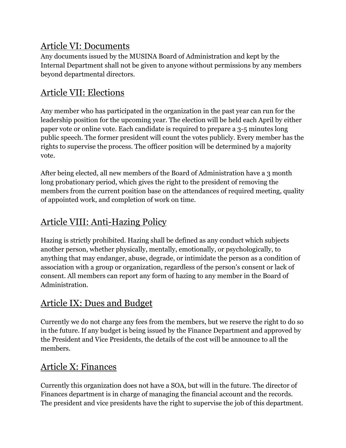#### Article VI: Documents

Any documents issued by the MUSINA Board of Administration and kept by the Internal Department shall not be given to anyone without permissions by any members beyond departmental directors.

#### Article VII: Elections

Any member who has participated in the organization in the past year can run for the leadership position for the upcoming year. The election will be held each April by either paper vote or online vote. Each candidate is required to prepare a 3-5 minutes long public speech. The former president will count the votes publicly. Every member has the rights to supervise the process. The officer position will be determined by a majority vote.

After being elected, all new members of the Board of Administration have a 3 month long probationary period, which gives the right to the president of removing the members from the current position base on the attendances of required meeting, quality of appointed work, and completion of work on time.

#### Article VIII: Anti-Hazing Policy

Hazing is strictly prohibited. Hazing shall be defined as any conduct which subjects another person, whether physically, mentally, emotionally, or psychologically, to anything that may endanger, abuse, degrade, or intimidate the person as a condition of association with a group or organization, regardless of the person's consent or lack of consent. All members can report any form of hazing to any member in the Board of Administration.

#### Article IX: Dues and Budget

Currently we do not charge any fees from the members, but we reserve the right to do so in the future. If any budget is being issued by the Finance Department and approved by the President and Vice Presidents, the details of the cost will be announce to all the members.

#### Article X: Finances

Currently this organization does not have a SOA, but will in the future. The director of Finances department is in charge of managing the financial account and the records. The president and vice presidents have the right to supervise the job of this department.